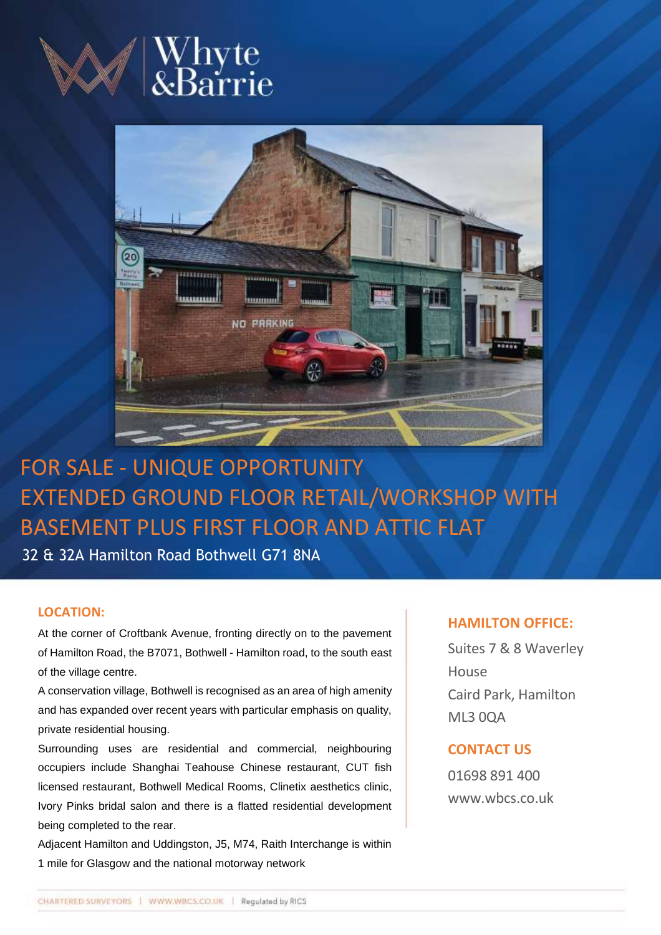

# Whyte<br>&Barrie



# FOR SALE - UNIQUE OPPORTUNITY EXTENDED GROUND FLOOR RETAIL/WORKSHOP WITH BASEMENT PLUS FIRST FLOOR AND ATTIC FLAT

32 & 32A Hamilton Road Bothwell G71 8NA

### **LOCATION:**

At the corner of Croftbank Avenue, fronting directly on to the pavement of Hamilton Road, the B7071, Bothwell - Hamilton road, to the south east of the village centre.

A conservation village, Bothwell is recognised as an area of high amenity and has expanded over recent years with particular emphasis on quality, private residential housing.

Surrounding uses are residential and commercial, neighbouring occupiers include Shanghai Teahouse Chinese restaurant, CUT fish licensed restaurant, Bothwell Medical Rooms, Clinetix aesthetics clinic, Ivory Pinks bridal salon and there is a flatted residential development being completed to the rear.

Adjacent Hamilton and Uddingston, J5, M74, Raith Interchange is within 1 mile for Glasgow and the national motorway network

# **HAMILTON OFFICE:**

Suites 7 & 8 Waverley House Caird Park, Hamilton ML3 0QA

# **CONTACT US**

01698 891 400 www.wbcs.co.uk